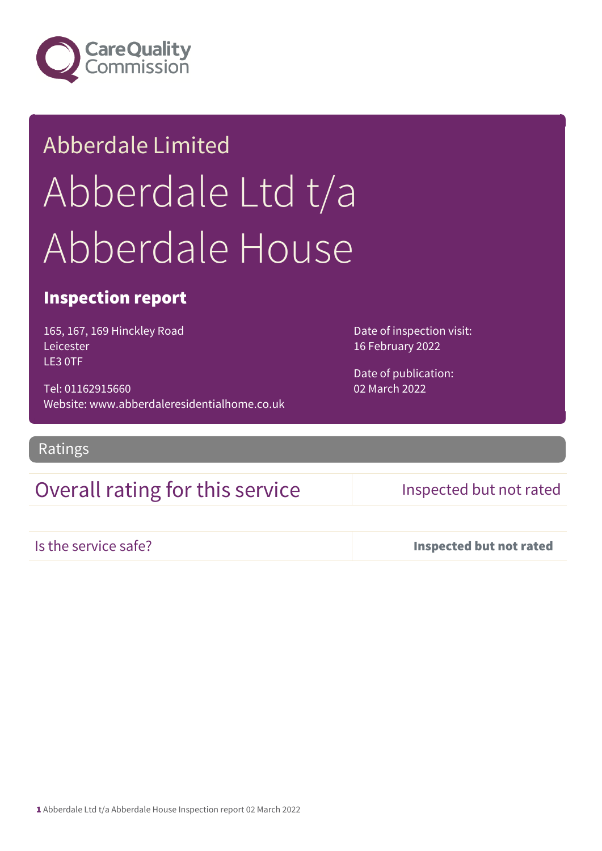

## Abberdale Limited Abberdale Ltd t/a Abberdale House

#### Inspection report

165, 167, 169 Hinckley Road Leicester LE3 0TF

Tel: 01162915660 Website: www.abberdaleresidentialhome.co.uk Date of inspection visit: 16 February 2022

Date of publication: 02 March 2022

Ratings

#### Overall rating for this service **Inspected but not rated**

Is the service safe? Inspected but not rated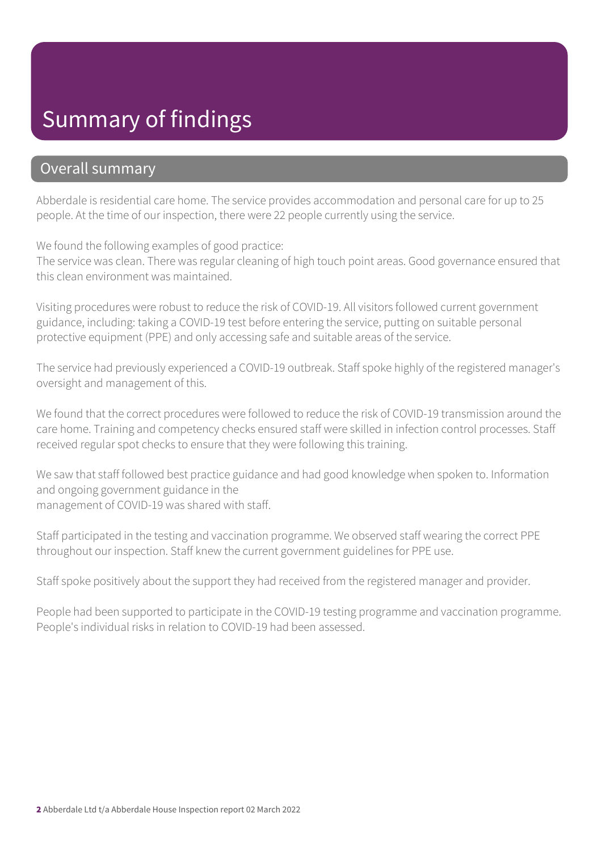## Summary of findings

#### Overall summary

Abberdale is residential care home. The service provides accommodation and personal care for up to 25 people. At the time of our inspection, there were 22 people currently using the service.

We found the following examples of good practice:

The service was clean. There was regular cleaning of high touch point areas. Good governance ensured that this clean environment was maintained.

Visiting procedures were robust to reduce the risk of COVID-19. All visitors followed current government guidance, including: taking a COVID-19 test before entering the service, putting on suitable personal protective equipment (PPE) and only accessing safe and suitable areas of the service.

The service had previously experienced a COVID-19 outbreak. Staff spoke highly of the registered manager's oversight and management of this.

We found that the correct procedures were followed to reduce the risk of COVID-19 transmission around the care home. Training and competency checks ensured staff were skilled in infection control processes. Staff received regular spot checks to ensure that they were following this training.

We saw that staff followed best practice guidance and had good knowledge when spoken to. Information and ongoing government guidance in the management of COVID-19 was shared with staff.

Staff participated in the testing and vaccination programme. We observed staff wearing the correct PPE throughout our inspection. Staff knew the current government guidelines for PPE use.

Staff spoke positively about the support they had received from the registered manager and provider.

People had been supported to participate in the COVID-19 testing programme and vaccination programme. People's individual risks in relation to COVID-19 had been assessed.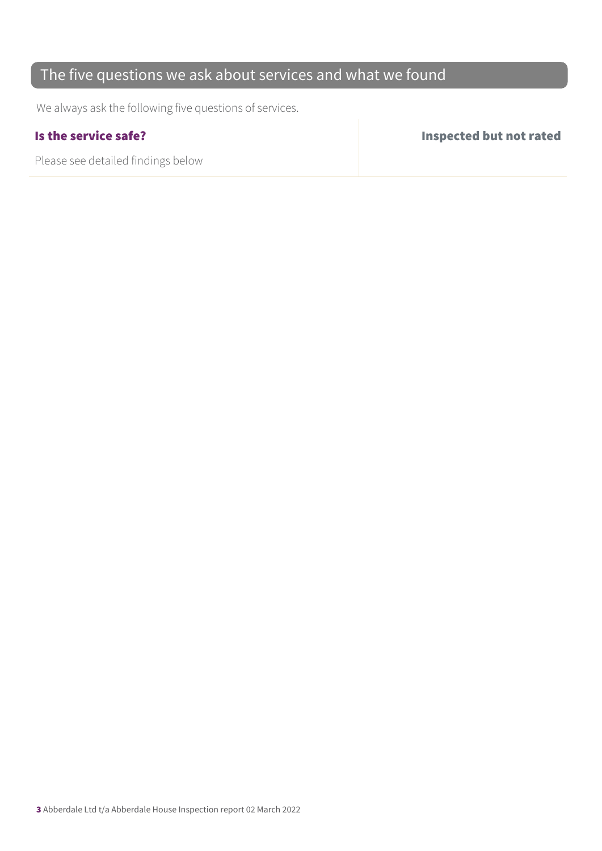#### The five questions we ask about services and what we found

We always ask the following five questions of services.

| Is the service safe?               | Inspected but not rated |
|------------------------------------|-------------------------|
| Please see detailed findings below |                         |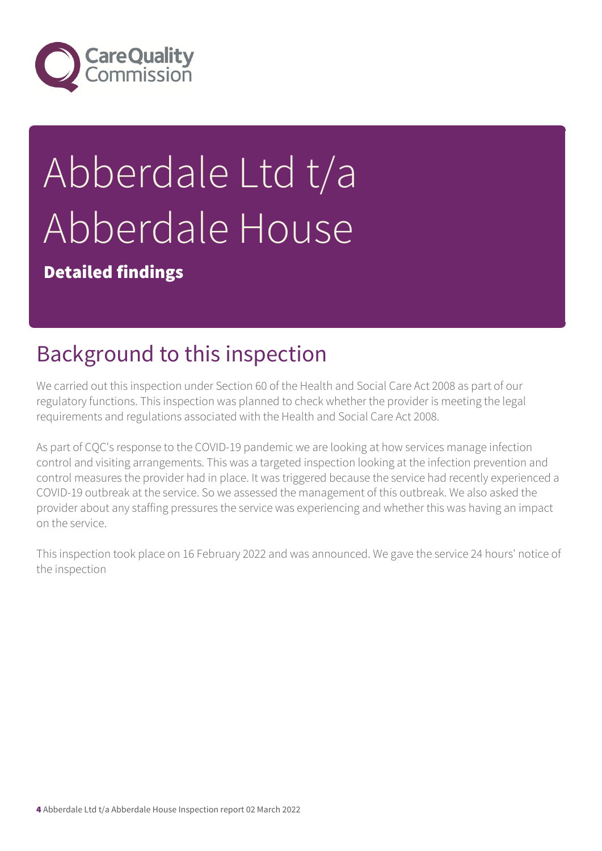

# Abberdale Ltd t/a Abberdale House

Detailed findings

## Background to this inspection

We carried out this inspection under Section 60 of the Health and Social Care Act 2008 as part of our regulatory functions. This inspection was planned to check whether the provider is meeting the legal requirements and regulations associated with the Health and Social Care Act 2008.

As part of CQC's response to the COVID-19 pandemic we are looking at how services manage infection control and visiting arrangements. This was a targeted inspection looking at the infection prevention and control measures the provider had in place. It was triggered because the service had recently experienced a COVID-19 outbreak at the service. So we assessed the management of this outbreak. We also asked the provider about any staffing pressures the service was experiencing and whether this was having an impact on the service.

This inspection took place on 16 February 2022 and was announced. We gave the service 24 hours' notice of the inspection